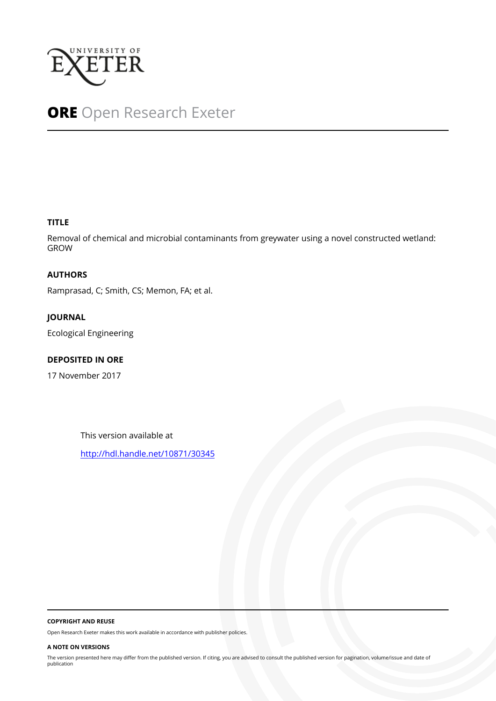

# **ORE** Open Research Exeter

#### **TITLE**

Removal of chemical and microbial contaminants from greywater using a novel constructed wetland: GROW

#### **AUTHORS**

Ramprasad, C; Smith, CS; Memon, FA; et al.

## **JOURNAL**

Ecological Engineering

#### **DEPOSITED IN ORE**

17 November 2017

This version available at

<http://hdl.handle.net/10871/30345>

#### **COPYRIGHT AND REUSE**

Open Research Exeter makes this work available in accordance with publisher policies.

#### **A NOTE ON VERSIONS**

The version presented here may differ from the published version. If citing, you are advised to consult the published version for pagination, volume/issue and date of publication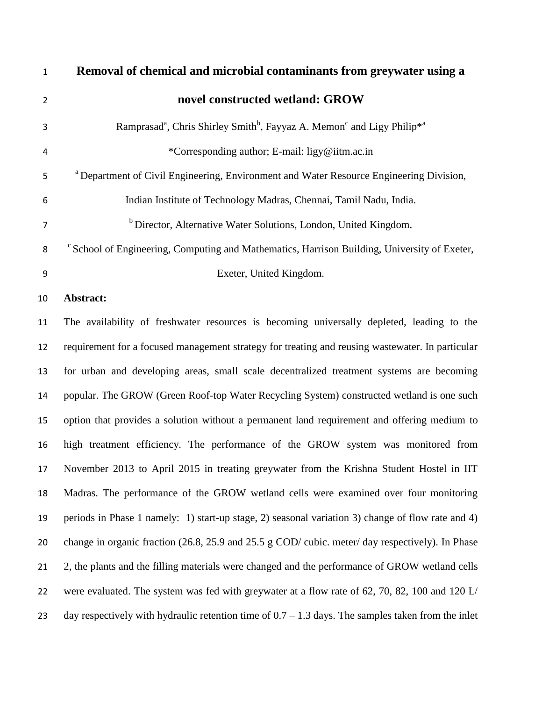| $\mathbf{1}$   | Removal of chemical and microbial contaminants from greywater using a                                                  |
|----------------|------------------------------------------------------------------------------------------------------------------------|
| $\overline{2}$ | novel constructed wetland: GROW                                                                                        |
| 3              | Ramprasad <sup>a</sup> , Chris Shirley Smith <sup>b</sup> , Fayyaz A. Memon <sup>c</sup> and Ligy Philip <sup>*a</sup> |
| 4              | *Corresponding author; E-mail: ligy@iitm.ac.in                                                                         |
| 5              | <sup>a</sup> Department of Civil Engineering, Environment and Water Resource Engineering Division,                     |
| 6              | Indian Institute of Technology Madras, Chennai, Tamil Nadu, India.                                                     |
| $\overline{7}$ | <sup>b</sup> Director, Alternative Water Solutions, London, United Kingdom.                                            |
| 8              | <sup>c</sup> School of Engineering, Computing and Mathematics, Harrison Building, University of Exeter,                |
| 9              | Exeter, United Kingdom.                                                                                                |
| 10             | Abstract:                                                                                                              |
| 11             | The availability of freshwater resources is becoming universally depleted, leading to the                              |
| 12             | requirement for a focused management strategy for treating and reusing wastewater. In particular                       |
| 13             | for urban and developing areas, small scale decentralized treatment systems are becoming                               |
| 14             | popular. The GROW (Green Roof-top Water Recycling System) constructed wetland is one such                              |
| 15             | option that provides a solution without a permanent land requirement and offering medium to                            |
| 16             | high treatment efficiency. The performance of the GROW system was monitored from                                       |
| 17             | November 2013 to April 2015 in treating greywater from the Krishna Student Hostel in IIT                               |
| 18             | Madras. The performance of the GROW wetland cells were examined over four monitoring                                   |
| 19             | periods in Phase 1 namely: 1) start-up stage, 2) seasonal variation 3) change of flow rate and 4)                      |
| 20             | change in organic fraction (26.8, 25.9 and 25.5 g COD/ cubic. meter/ day respectively). In Phase                       |
| 21             | 2, the plants and the filling materials were changed and the performance of GROW wetland cells                         |
| 22             | were evaluated. The system was fed with greywater at a flow rate of 62, 70, 82, 100 and 120 L/                         |
| 23             | day respectively with hydraulic retention time of $0.7 - 1.3$ days. The samples taken from the inlet                   |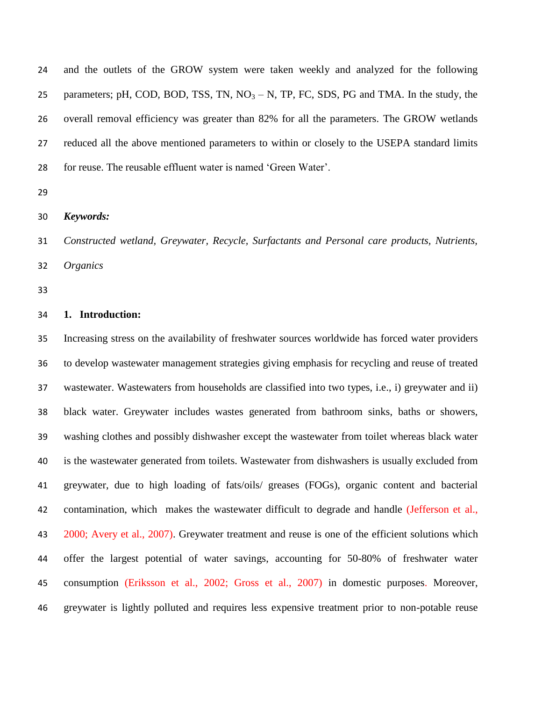| 24 | and the outlets of the GROW system were taken weekly and analyzed for the following          |
|----|----------------------------------------------------------------------------------------------|
| 25 | parameters; pH, COD, BOD, TSS, TN, $NO3 - N$ , TP, FC, SDS, PG and TMA. In the study, the    |
| 26 | overall removal efficiency was greater than 82% for all the parameters. The GROW wetlands    |
| 27 | reduced all the above mentioned parameters to within or closely to the USEPA standard limits |
| 28 | for reuse. The reusable effluent water is named 'Green Water'.                               |

- 
- *Keywords:*

 *Constructed wetland, Greywater, Recycle, Surfactants and Personal care products, Nutrients, Organics*

#### **1. Introduction:**

 Increasing stress on the availability of freshwater sources worldwide has forced water providers to develop wastewater management strategies giving emphasis for recycling and reuse of treated wastewater. Wastewaters from households are classified into two types, i.e., i) greywater and ii) black water. Greywater includes wastes generated from bathroom sinks, baths or showers, washing clothes and possibly dishwasher except the wastewater from toilet whereas black water is the wastewater generated from toilets. Wastewater from dishwashers is usually excluded from greywater, due to high loading of fats/oils/ greases (FOGs), organic content and bacterial contamination, which makes the wastewater difficult to degrade and handle (Jefferson et al., 2000; Avery et al., 2007). Greywater treatment and reuse is one of the efficient solutions which offer the largest potential of water savings, accounting for 50-80% of freshwater water consumption (Eriksson et al., 2002; Gross et al., 2007) in domestic purposes. Moreover, greywater is lightly polluted and requires less expensive treatment prior to non-potable reuse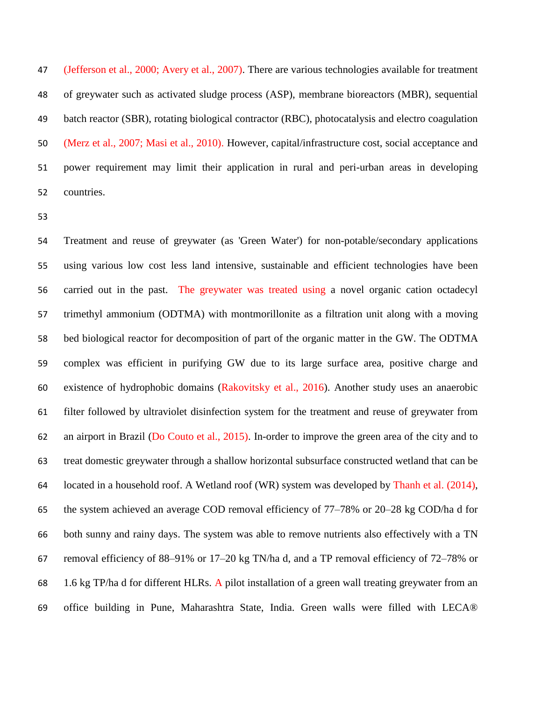(Jefferson et al., 2000; Avery et al., 2007). There are various technologies available for treatment of greywater such as activated sludge process (ASP), membrane bioreactors (MBR), sequential batch reactor (SBR), rotating biological contractor (RBC), photocatalysis and electro coagulation (Merz et al., 2007; Masi et al., 2010). However, capital/infrastructure cost, social acceptance and power requirement may limit their application in rural and peri-urban areas in developing countries.

 Treatment and reuse of greywater (as 'Green Water') for non-potable/secondary applications using various low cost less land intensive, sustainable and efficient technologies have been carried out in the past. The greywater was treated using a novel organic cation octadecyl trimethyl ammonium (ODTMA) with montmorillonite as a filtration unit along with a moving bed biological reactor for decomposition of part of the organic matter in the GW. The ODTMA complex was efficient in purifying GW due to its large surface area, positive charge and existence of hydrophobic domains (Rakovitsky et al., 2016). Another study uses an anaerobic filter followed by ultraviolet disinfection system for the treatment and reuse of greywater from an airport in Brazil (Do Couto et al., 2015). In-order to improve the green area of the city and to treat domestic greywater through a shallow horizontal subsurface constructed wetland that can be located in a household roof. A Wetland roof (WR) system was developed by Thanh et al. (2014), the system achieved an average COD removal efficiency of 77–78% or 20–28 kg COD/ha d for both sunny and rainy days. The system was able to remove nutrients also effectively with a TN removal efficiency of 88–91% or 17–20 kg TN/ha d, and a TP removal efficiency of 72–78% or 1.6 kg TP/ha d for different HLRs. A pilot installation of a green wall treating greywater from an office building in Pune, Maharashtra State, India. Green walls were filled with LECA®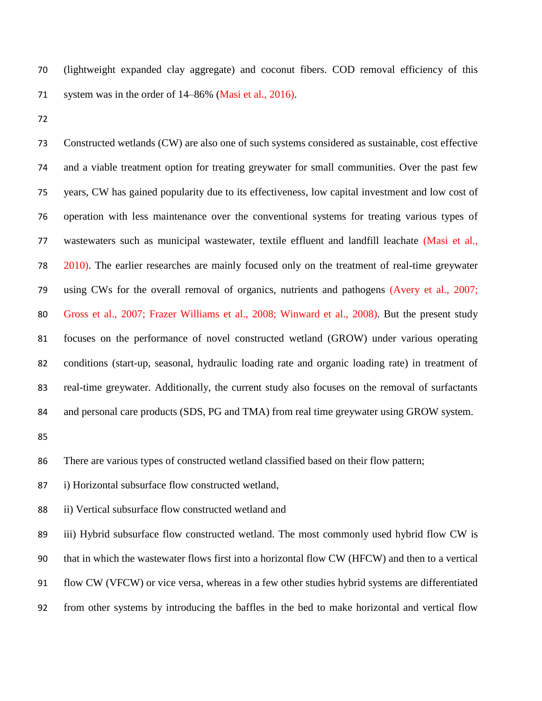(lightweight expanded clay aggregate) and coconut fibers. COD removal efficiency of this 71 system was in the order of 14–86% (Masi et al., 2016).

 Constructed wetlands (CW) are also one of such systems considered as sustainable, cost effective and a viable treatment option for treating greywater for small communities. Over the past few years, CW has gained popularity due to its effectiveness, low capital investment and low cost of operation with less maintenance over the conventional systems for treating various types of 77 wastewaters such as municipal wastewater, textile effluent and landfill leachate (Masi et al., 2010). The earlier researches are mainly focused only on the treatment of real-time greywater using CWs for the overall removal of organics, nutrients and pathogens (Avery et al., 2007; Gross et al., 2007; Frazer Williams et al., 2008; Winward et al., 2008). But the present study focuses on the performance of novel constructed wetland (GROW) under various operating conditions (start-up, seasonal, hydraulic loading rate and organic loading rate) in treatment of real-time greywater. Additionally, the current study also focuses on the removal of surfactants 84 and personal care products (SDS, PG and TMA) from real time greywater using GROW system.

There are various types of constructed wetland classified based on their flow pattern;

i) Horizontal subsurface flow constructed wetland,

ii) Vertical subsurface flow constructed wetland and

 iii) Hybrid subsurface flow constructed wetland. The most commonly used hybrid flow CW is that in which the wastewater flows first into a horizontal flow CW (HFCW) and then to a vertical flow CW (VFCW) or vice versa, whereas in a few other studies hybrid systems are differentiated from other systems by introducing the baffles in the bed to make horizontal and vertical flow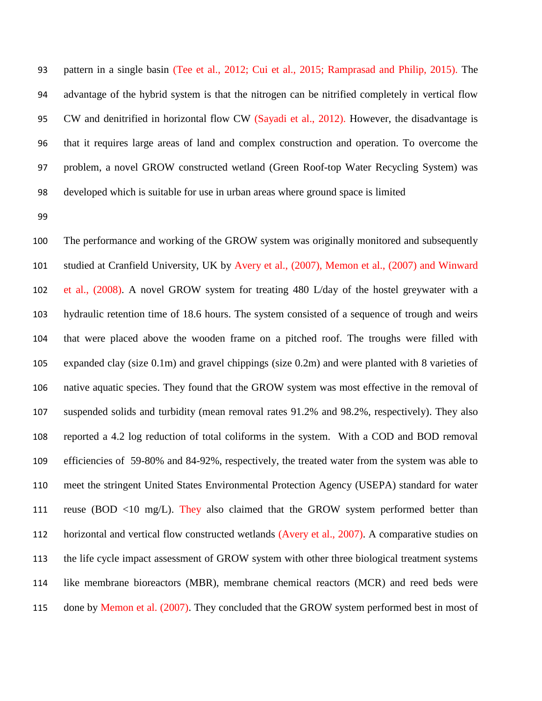pattern in a single basin (Tee et al., 2012; Cui et al., 2015; Ramprasad and Philip, 2015). The advantage of the hybrid system is that the nitrogen can be nitrified completely in vertical flow CW and denitrified in horizontal flow CW (Sayadi et al., 2012). However, the disadvantage is that it requires large areas of land and complex construction and operation. To overcome the problem, a novel GROW constructed wetland (Green Roof-top Water Recycling System) was developed which is suitable for use in urban areas where ground space is limited

 The performance and working of the GROW system was originally monitored and subsequently studied at Cranfield University, UK by Avery et al., (2007), Memon et al., (2007) and Winward et al., (2008). A novel GROW system for treating 480 L/day of the hostel greywater with a hydraulic retention time of 18.6 hours. The system consisted of a sequence of trough and weirs that were placed above the wooden frame on a pitched roof. The troughs were filled with expanded clay (size 0.1m) and gravel chippings (size 0.2m) and were planted with 8 varieties of native aquatic species. They found that the GROW system was most effective in the removal of suspended solids and turbidity (mean removal rates 91.2% and 98.2%, respectively). They also reported a 4.2 log reduction of total coliforms in the system. With a COD and BOD removal efficiencies of 59-80% and 84-92%, respectively, the treated water from the system was able to meet the stringent United States Environmental Protection Agency (USEPA) standard for water 111 reuse (BOD <10 mg/L). They also claimed that the GROW system performed better than horizontal and vertical flow constructed wetlands (Avery et al., 2007). A comparative studies on the life cycle impact assessment of GROW system with other three biological treatment systems like membrane bioreactors (MBR), membrane chemical reactors (MCR) and reed beds were 115 done by Memon et al. (2007). They concluded that the GROW system performed best in most of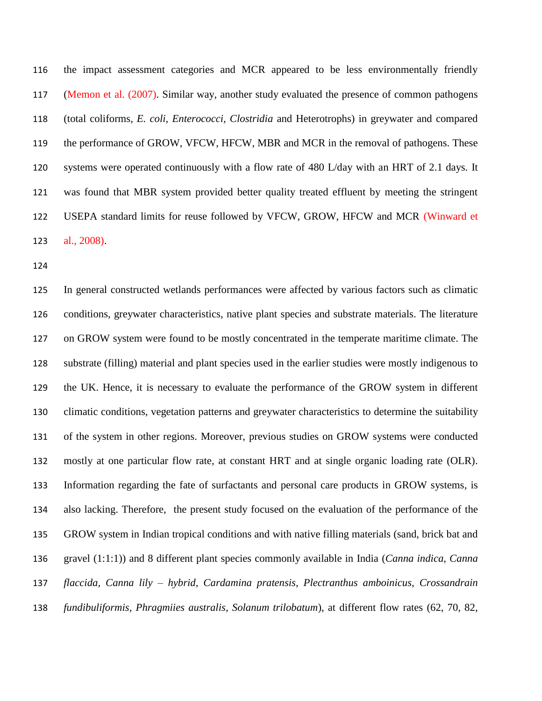the impact assessment categories and MCR appeared to be less environmentally friendly (Memon et al. (2007). Similar way, another study evaluated the presence of common pathogens (total coliforms, *E. coli, Enterococci, Clostridia* and Heterotrophs) in greywater and compared the performance of GROW, VFCW, HFCW, MBR and MCR in the removal of pathogens. These systems were operated continuously with a flow rate of 480 L/day with an HRT of 2.1 days. It was found that MBR system provided better quality treated effluent by meeting the stringent USEPA standard limits for reuse followed by VFCW, GROW, HFCW and MCR (Winward et al., 2008).

 In general constructed wetlands performances were affected by various factors such as climatic conditions, greywater characteristics, native plant species and substrate materials. The literature on GROW system were found to be mostly concentrated in the temperate maritime climate. The substrate (filling) material and plant species used in the earlier studies were mostly indigenous to the UK. Hence, it is necessary to evaluate the performance of the GROW system in different climatic conditions, vegetation patterns and greywater characteristics to determine the suitability of the system in other regions. Moreover, previous studies on GROW systems were conducted mostly at one particular flow rate, at constant HRT and at single organic loading rate (OLR). Information regarding the fate of surfactants and personal care products in GROW systems, is also lacking. Therefore, the present study focused on the evaluation of the performance of the GROW system in Indian tropical conditions and with native filling materials (sand, brick bat and gravel (1:1:1)) and 8 different plant species commonly available in India (*Canna indica, Canna flaccida, Canna lily – hybrid, Cardamina pratensis, Plectranthus amboinicus, Crossandrain fundibuliformis, Phragmiies australis, Solanum trilobatum*), at different flow rates (62, 70, 82,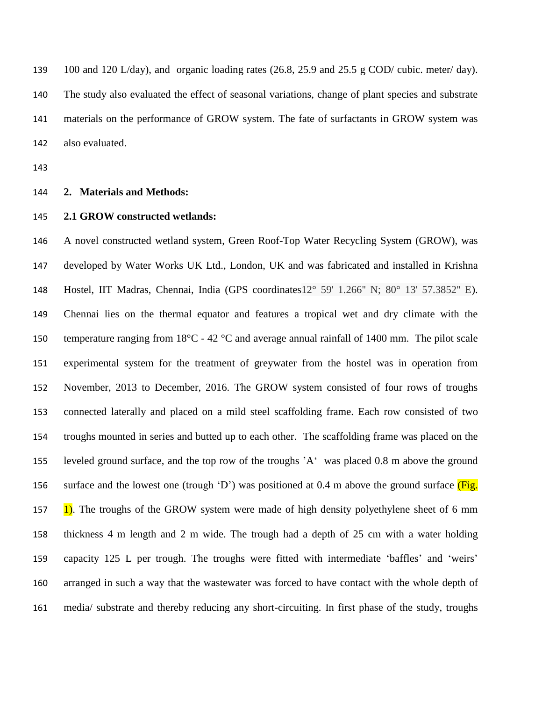100 and 120 L/day), and organic loading rates (26.8, 25.9 and 25.5 g COD/ cubic. meter/ day). The study also evaluated the effect of seasonal variations, change of plant species and substrate materials on the performance of GROW system. The fate of surfactants in GROW system was also evaluated.

#### **2. Materials and Methods:**

#### **2.1 GROW constructed wetlands:**

 A novel constructed wetland system, Green Roof-Top Water Recycling System (GROW), was developed by Water Works UK Ltd., London, UK and was fabricated and installed in Krishna Hostel, IIT Madras, Chennai, India (GPS coordinates12° 59' 1.266'' N; 80° 13' 57.3852'' E). Chennai lies on the thermal equator and features a tropical wet and dry climate with the 150 temperature ranging from  $18^{\circ}$ C - 42  $^{\circ}$ C and average annual rainfall of 1400 mm. The pilot scale experimental system for the treatment of greywater from the hostel was in operation from November, 2013 to December, 2016. The GROW system consisted of four rows of troughs connected laterally and placed on a mild steel scaffolding frame. Each row consisted of two troughs mounted in series and butted up to each other. The scaffolding frame was placed on the leveled ground surface, and the top row of the troughs 'A' was placed 0.8 m above the ground 156 surface and the lowest one (trough 'D') was positioned at 0.4 m above the ground surface  $(Fig.$ 157 1). The troughs of the GROW system were made of high density polyethylene sheet of 6 mm thickness 4 m length and 2 m wide. The trough had a depth of 25 cm with a water holding capacity 125 L per trough. The troughs were fitted with intermediate 'baffles' and 'weirs' arranged in such a way that the wastewater was forced to have contact with the whole depth of media/ substrate and thereby reducing any short-circuiting. In first phase of the study, troughs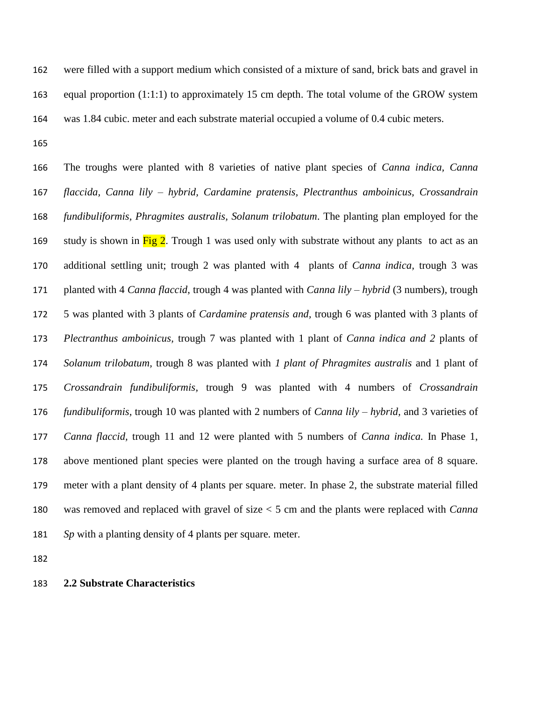were filled with a support medium which consisted of a mixture of sand, brick bats and gravel in 163 equal proportion (1:1:1) to approximately 15 cm depth. The total volume of the GROW system was 1.84 cubic. meter and each substrate material occupied a volume of 0.4 cubic meters.

 The troughs were planted with 8 varieties of native plant species of *Canna indica, Canna flaccida, Canna lily – hybrid, Cardamine pratensis, Plectranthus amboinicus, Crossandrain fundibuliformis, Phragmites australis, Solanum trilobatum*. The planting plan employed for the 169 study is shown in Fig 2. Trough 1 was used only with substrate without any plants to act as an additional settling unit; trough 2 was planted with 4 plants of *Canna indica,* trough 3 was planted with 4 *Canna flaccid*, trough 4 was planted with *Canna lily – hybrid* (3 numbers)*,* trough 5 was planted with 3 plants of *Cardamine pratensis and,* trough 6 was planted with 3 plants of *Plectranthus amboinicus,* trough 7 was planted with 1 plant of *Canna indica and 2* plants of *Solanum trilobatum,* trough 8 was planted with *1 plant of Phragmites australis* and 1 plant of *Crossandrain fundibuliformis,* trough 9 was planted with 4 numbers of *Crossandrain fundibuliformis,* trough 10 was planted with 2 numbers of *Canna lily – hybrid,* and 3 varieties of *Canna flaccid,* trough 11 and 12 were planted with 5 numbers of *Canna indica.* In Phase 1, above mentioned plant species were planted on the trough having a surface area of 8 square. meter with a plant density of 4 plants per square. meter. In phase 2, the substrate material filled was removed and replaced with gravel of size < 5 cm and the plants were replaced with *Canna Sp* with a planting density of 4 plants per square. meter.

#### **2.2 Substrate Characteristics**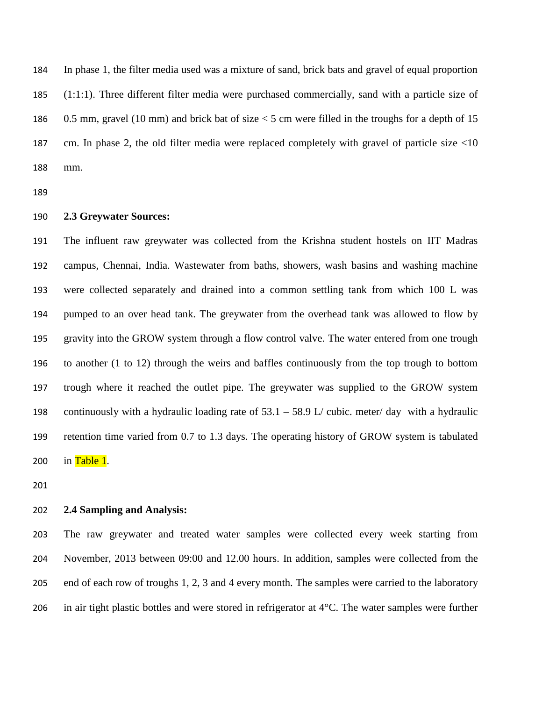In phase 1, the filter media used was a mixture of sand, brick bats and gravel of equal proportion (1:1:1). Three different filter media were purchased commercially, sand with a particle size of 0.5 mm, gravel (10 mm) and brick bat of size < 5 cm were filled in the troughs for a depth of 15 cm. In phase 2, the old filter media were replaced completely with gravel of particle size <10 mm.

#### **2.3 Greywater Sources:**

 The influent raw greywater was collected from the Krishna student hostels on IIT Madras campus, Chennai, India. Wastewater from baths, showers, wash basins and washing machine were collected separately and drained into a common settling tank from which 100 L was pumped to an over head tank. The greywater from the overhead tank was allowed to flow by gravity into the GROW system through a flow control valve. The water entered from one trough to another (1 to 12) through the weirs and baffles continuously from the top trough to bottom trough where it reached the outlet pipe. The greywater was supplied to the GROW system continuously with a hydraulic loading rate of 53.1 – 58.9 L/ cubic. meter/ day with a hydraulic retention time varied from 0.7 to 1.3 days. The operating history of GROW system is tabulated 200 in Table 1.

#### **2.4 Sampling and Analysis:**

 The raw greywater and treated water samples were collected every week starting from November, 2013 between 09:00 and 12.00 hours. In addition, samples were collected from the 205 end of each row of troughs 1, 2, 3 and 4 every month. The samples were carried to the laboratory in air tight plastic bottles and were stored in refrigerator at 4°C. The water samples were further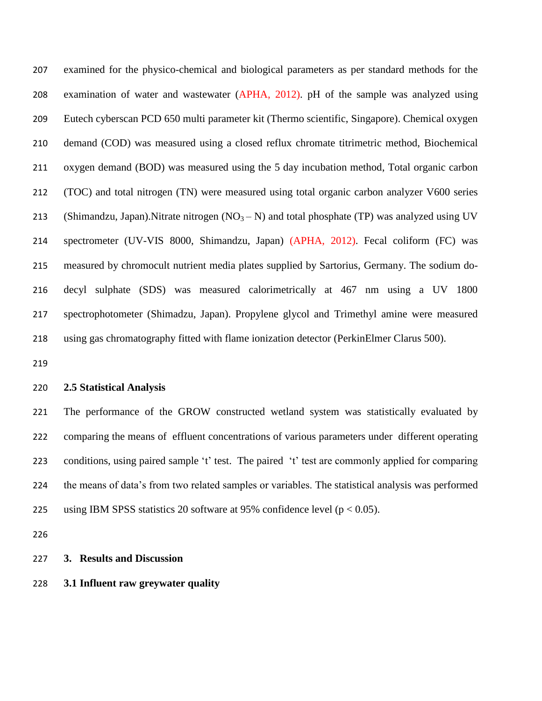examined for the physico-chemical and biological parameters as per standard methods for the examination of water and wastewater (APHA, 2012). pH of the sample was analyzed using Eutech cyberscan PCD 650 multi parameter kit (Thermo scientific, Singapore). Chemical oxygen demand (COD) was measured using a closed reflux chromate titrimetric method, Biochemical oxygen demand (BOD) was measured using the 5 day incubation method, Total organic carbon (TOC) and total nitrogen (TN) were measured using total organic carbon analyzer V600 series 213 (Shimandzu, Japan). Nitrate nitrogen  $(NO<sub>3</sub> - N)$  and total phosphate (TP) was analyzed using UV spectrometer (UV-VIS 8000, Shimandzu, Japan) (APHA, 2012). Fecal coliform (FC) was measured by chromocult nutrient media plates supplied by Sartorius, Germany. The sodium do- decyl sulphate (SDS) was measured calorimetrically at 467 nm using a UV 1800 spectrophotometer (Shimadzu, Japan). Propylene glycol and Trimethyl amine were measured using gas chromatography fitted with flame ionization detector (PerkinElmer Clarus 500).

#### **2.5 Statistical Analysis**

 The performance of the GROW constructed wetland system was statistically evaluated by comparing the means of effluent concentrations of various parameters under different operating conditions, using paired sample 't' test. The paired 't' test are commonly applied for comparing the means of data's from two related samples or variables. The statistical analysis was performed 225 using IBM SPSS statistics 20 software at 95% confidence level ( $p < 0.05$ ).

#### **3. Results and Discussion**

#### **3.1 Influent raw greywater quality**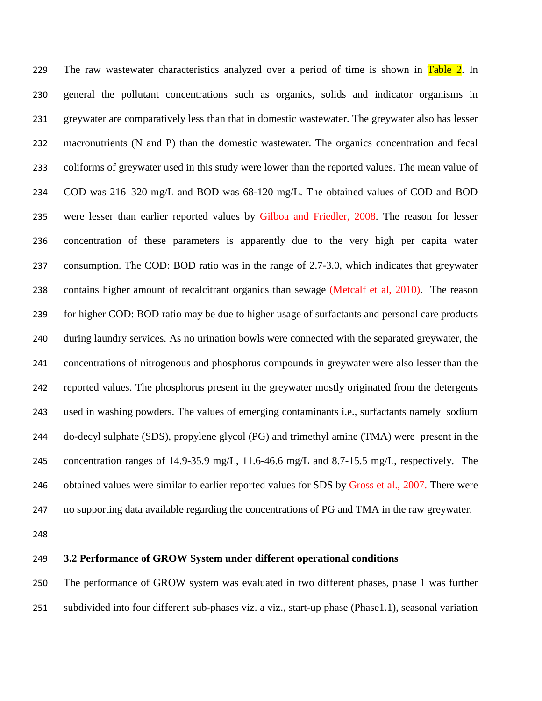229 The raw wastewater characteristics analyzed over a period of time is shown in Table 2. In general the pollutant concentrations such as organics, solids and indicator organisms in greywater are comparatively less than that in domestic wastewater. The greywater also has lesser macronutrients (N and P) than the domestic wastewater. The organics concentration and fecal coliforms of greywater used in this study were lower than the reported values. The mean value of COD was 216–320 mg/L and BOD was 68-120 mg/L. The obtained values of COD and BOD were lesser than earlier reported values by Gilboa and Friedler, 2008. The reason for lesser concentration of these parameters is apparently due to the very high per capita water consumption. The COD: BOD ratio was in the range of 2.7-3.0, which indicates that greywater contains higher amount of recalcitrant organics than sewage (Metcalf et al, 2010). The reason for higher COD: BOD ratio may be due to higher usage of surfactants and personal care products during laundry services. As no urination bowls were connected with the separated greywater, the concentrations of nitrogenous and phosphorus compounds in greywater were also lesser than the reported values. The phosphorus present in the greywater mostly originated from the detergents used in washing powders. The values of emerging contaminants i.e., surfactants namely sodium do-decyl sulphate (SDS), propylene glycol (PG) and trimethyl amine (TMA) were present in the concentration ranges of 14.9-35.9 mg/L, 11.6-46.6 mg/L and 8.7-15.5 mg/L, respectively. The 246 obtained values were similar to earlier reported values for SDS by Gross et al., 2007. There were no supporting data available regarding the concentrations of PG and TMA in the raw greywater.

#### **3.2 Performance of GROW System under different operational conditions**

 The performance of GROW system was evaluated in two different phases, phase 1 was further subdivided into four different sub-phases viz. a viz., start-up phase (Phase1.1), seasonal variation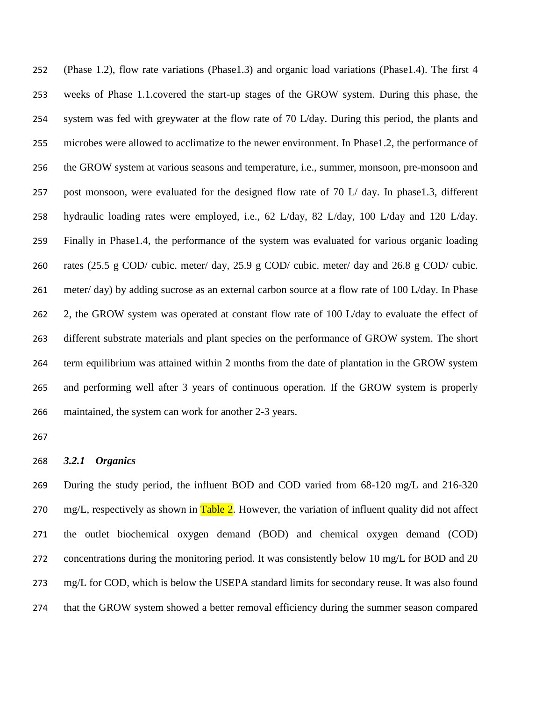(Phase 1.2), flow rate variations (Phase1.3) and organic load variations (Phase1.4). The first 4 weeks of Phase 1.1.covered the start-up stages of the GROW system. During this phase, the system was fed with greywater at the flow rate of 70 L/day. During this period, the plants and microbes were allowed to acclimatize to the newer environment. In Phase1.2, the performance of the GROW system at various seasons and temperature, i.e., summer, monsoon, pre-monsoon and post monsoon, were evaluated for the designed flow rate of 70 L/ day. In phase1.3, different hydraulic loading rates were employed, i.e., 62 L/day, 82 L/day, 100 L/day and 120 L/day. Finally in Phase1.4, the performance of the system was evaluated for various organic loading rates (25.5 g COD/ cubic. meter/ day, 25.9 g COD/ cubic. meter/ day and 26.8 g COD/ cubic. meter/ day) by adding sucrose as an external carbon source at a flow rate of 100 L/day. In Phase 262 2, the GROW system was operated at constant flow rate of 100 L/day to evaluate the effect of different substrate materials and plant species on the performance of GROW system. The short term equilibrium was attained within 2 months from the date of plantation in the GROW system and performing well after 3 years of continuous operation. If the GROW system is properly maintained, the system can work for another 2-3 years.

#### *3.2.1 Organics*

 During the study period, the influent BOD and COD varied from 68-120 mg/L and 216-320 270 mg/L, respectively as shown in  $Table 2$ . However, the variation of influent quality did not affect the outlet biochemical oxygen demand (BOD) and chemical oxygen demand (COD) 272 concentrations during the monitoring period. It was consistently below 10 mg/L for BOD and 20 mg/L for COD, which is below the USEPA standard limits for secondary reuse. It was also found that the GROW system showed a better removal efficiency during the summer season compared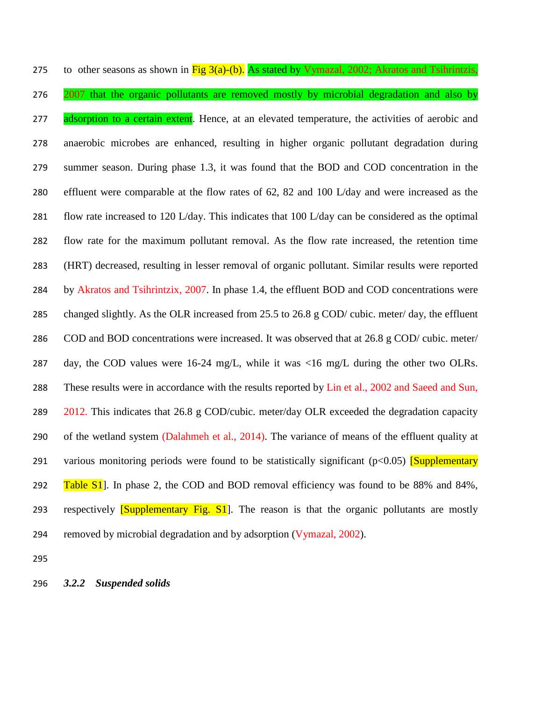275 to other seasons as shown in  $\frac{\text{Fig 3(a)-(b)}}{\text{As stated by Vymazal, 2002}}$ ; Akratos and Tsihrintzis, 276 2007 that the organic pollutants are removed mostly by microbial degradation and also by 277 adsorption to a certain extent. Hence, at an elevated temperature, the activities of aerobic and anaerobic microbes are enhanced, resulting in higher organic pollutant degradation during summer season. During phase 1.3, it was found that the BOD and COD concentration in the effluent were comparable at the flow rates of 62, 82 and 100 L/day and were increased as the flow rate increased to 120 L/day. This indicates that 100 L/day can be considered as the optimal flow rate for the maximum pollutant removal. As the flow rate increased, the retention time (HRT) decreased, resulting in lesser removal of organic pollutant. Similar results were reported by Akratos and Tsihrintzix, 2007. In phase 1.4, the effluent BOD and COD concentrations were changed slightly. As the OLR increased from 25.5 to 26.8 g COD/ cubic. meter/ day, the effluent COD and BOD concentrations were increased. It was observed that at 26.8 g COD/ cubic. meter/ day, the COD values were 16-24 mg/L, while it was <16 mg/L during the other two OLRs. These results were in accordance with the results reported by Lin et al., 2002 and Saeed and Sun, . This indicates that 26.8 g COD/cubic. meter/day OLR exceeded the degradation capacity 290 of the wetland system (Dalahmeh et al., 2014). The variance of means of the effluent quality at 291 various monitoring periods were found to be statistically significant  $(p<0.05)$  [Supplementary 292 Table S1. In phase 2, the COD and BOD removal efficiency was found to be 88% and 84%, 293 respectively **Supplementary Fig. S1**. The reason is that the organic pollutants are mostly removed by microbial degradation and by adsorption (Vymazal, 2002).

*3.2.2 Suspended solids*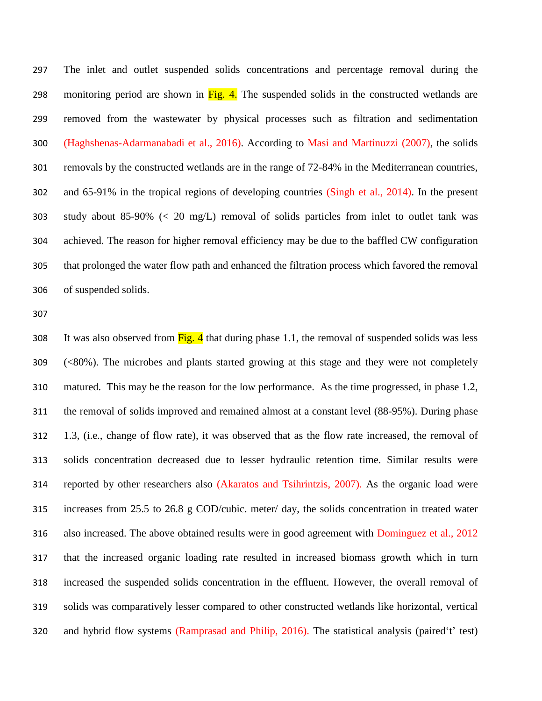The inlet and outlet suspended solids concentrations and percentage removal during the 298 monitoring period are shown in  $\overline{Fig. 4}$ . The suspended solids in the constructed wetlands are removed from the wastewater by physical processes such as filtration and sedimentation (Haghshenas-Adarmanabadi et al., 2016). According to Masi and Martinuzzi (2007), the solids removals by the constructed wetlands are in the range of 72-84% in the Mediterranean countries, and 65-91% in the tropical regions of developing countries (Singh et al., 2014). In the present study about 85-90% (< 20 mg/L) removal of solids particles from inlet to outlet tank was achieved. The reason for higher removal efficiency may be due to the baffled CW configuration that prolonged the water flow path and enhanced the filtration process which favored the removal of suspended solids.

308 It was also observed from  $\frac{Fig. 4}{9}$  that during phase 1.1, the removal of suspended solids was less (<80%). The microbes and plants started growing at this stage and they were not completely matured. This may be the reason for the low performance. As the time progressed, in phase 1.2, the removal of solids improved and remained almost at a constant level (88-95%). During phase 1.3, (i.e., change of flow rate), it was observed that as the flow rate increased, the removal of solids concentration decreased due to lesser hydraulic retention time. Similar results were reported by other researchers also (Akaratos and Tsihrintzis, 2007). As the organic load were increases from 25.5 to 26.8 g COD/cubic. meter/ day, the solids concentration in treated water also increased. The above obtained results were in good agreement with Dominguez et al., 2012 that the increased organic loading rate resulted in increased biomass growth which in turn increased the suspended solids concentration in the effluent. However, the overall removal of solids was comparatively lesser compared to other constructed wetlands like horizontal, vertical and hybrid flow systems (Ramprasad and Philip, 2016). The statistical analysis (paired't' test)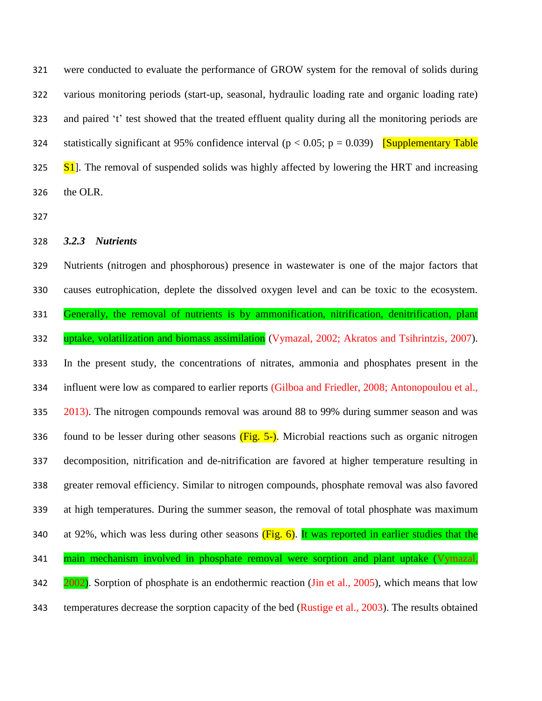were conducted to evaluate the performance of GROW system for the removal of solids during various monitoring periods (start-up, seasonal, hydraulic loading rate and organic loading rate) and paired 't' test showed that the treated effluent quality during all the monitoring periods are statistically significant at 95% confidence interval (p < 0.05; p = 0.039)[Supplementary Table S<sub>1</sub>. The removal of suspended solids was highly affected by lowering the HRT and increasing the OLR.

*3.2.3 Nutrients*

 Nutrients (nitrogen and phosphorous) presence in wastewater is one of the major factors that causes eutrophication, deplete the dissolved oxygen level and can be toxic to the ecosystem. Generally, the removal of nutrients is by ammonification, nitrification, denitrification, plant 332 uptake, volatilization and biomass assimilation (Vymazal, 2002; Akratos and Tsihrintzis, 2007). In the present study, the concentrations of nitrates, ammonia and phosphates present in the influent were low as compared to earlier reports (Gilboa and Friedler, 2008; Antonopoulou et al., 335 2013). The nitrogen compounds removal was around 88 to 99% during summer season and was 336 found to be lesser during other seasons  $(Fig. 5-)$ . Microbial reactions such as organic nitrogen decomposition, nitrification and de-nitrification are favored at higher temperature resulting in greater removal efficiency. Similar to nitrogen compounds, phosphate removal was also favored at high temperatures. During the summer season, the removal of total phosphate was maximum 340 at 92%, which was less during other seasons  $(Fig. 6)$ . It was reported in earlier studies that the 341 main mechanism involved in phosphate removal were sorption and plant uptake (Vymazal, 342 2002). Sorption of phosphate is an endothermic reaction (Jin et al., 2005), which means that low temperatures decrease the sorption capacity of the bed (Rustige et al., 2003). The results obtained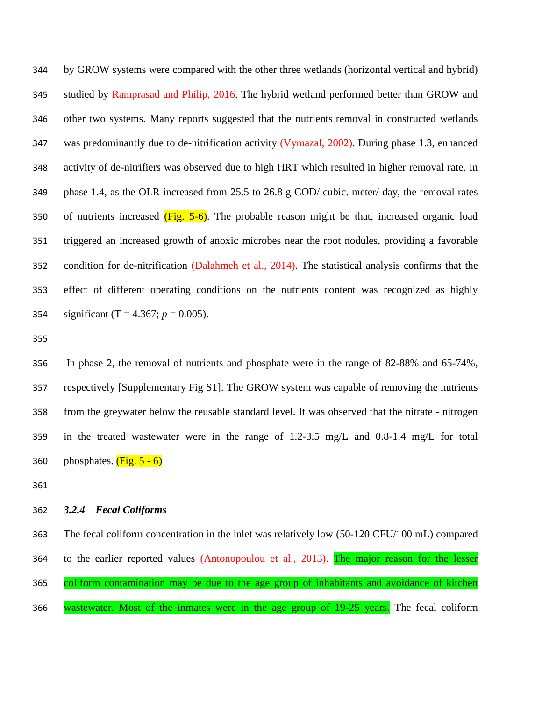by GROW systems were compared with the other three wetlands (horizontal vertical and hybrid) studied by Ramprasad and Philip, 2016. The hybrid wetland performed better than GROW and other two systems. Many reports suggested that the nutrients removal in constructed wetlands was predominantly due to de-nitrification activity (Vymazal, 2002). During phase 1.3, enhanced activity of de-nitrifiers was observed due to high HRT which resulted in higher removal rate. In phase 1.4, as the OLR increased from 25.5 to 26.8 g COD/ cubic. meter/ day, the removal rates 350 of nutrients increased  $(Fig. 5-6)$ . The probable reason might be that, increased organic load triggered an increased growth of anoxic microbes near the root nodules, providing a favorable condition for de-nitrification (Dalahmeh et al., 2014). The statistical analysis confirms that the effect of different operating conditions on the nutrients content was recognized as highly 354 significant (T =  $4.367$ ;  $p = 0.005$ ).

 In phase 2, the removal of nutrients and phosphate were in the range of 82-88% and 65-74%, respectively [Supplementary Fig S1]. The GROW system was capable of removing the nutrients from the greywater below the reusable standard level. It was observed that the nitrate - nitrogen in the treated wastewater were in the range of 1.2-3.5 mg/L and 0.8-1.4 mg/L for total 360 phosphates.  $(Fig. 5 - 6)$ 

#### *3.2.4 Fecal Coliforms*

 The fecal coliform concentration in the inlet was relatively low (50-120 CFU/100 mL) compared 364 to the earlier reported values (Antonopoulou et al., 2013). The major reason for the lesser 365 coliform contamination may be due to the age group of inhabitants and avoidance of kitchen 366 wastewater. Most of the inmates were in the age group of 19-25 years. The fecal coliform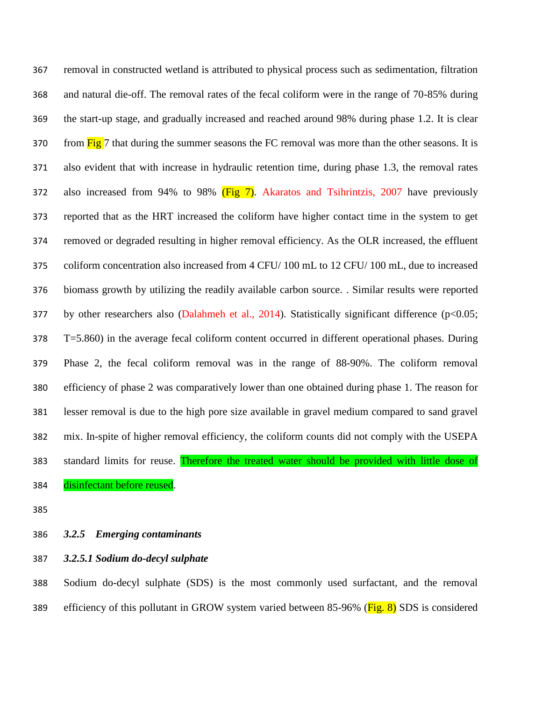removal in constructed wetland is attributed to physical process such as sedimentation, filtration and natural die-off. The removal rates of the fecal coliform were in the range of 70-85% during the start-up stage, and gradually increased and reached around 98% during phase 1.2. It is clear 370 from Fig 7 that during the summer seasons the FC removal was more than the other seasons. It is also evident that with increase in hydraulic retention time, during phase 1.3, the removal rates 372 also increased from 94% to 98%  $(Fig 7)$ . Akaratos and Tsihrintzis, 2007 have previously reported that as the HRT increased the coliform have higher contact time in the system to get removed or degraded resulting in higher removal efficiency. As the OLR increased, the effluent coliform concentration also increased from 4 CFU/ 100 mL to 12 CFU/ 100 mL, due to increased biomass growth by utilizing the readily available carbon source. . Similar results were reported 377 by other researchers also (Dalahmeh et al., 2014). Statistically significant difference (p<0.05; T=5.860) in the average fecal coliform content occurred in different operational phases. During Phase 2, the fecal coliform removal was in the range of 88-90%. The coliform removal efficiency of phase 2 was comparatively lower than one obtained during phase 1. The reason for lesser removal is due to the high pore size available in gravel medium compared to sand gravel mix. In-spite of higher removal efficiency, the coliform counts did not comply with the USEPA 383 standard limits for reuse. Therefore the treated water should be provided with little dose of disinfectant before reused.

### *3.2.5 Emerging contaminants*

*3.2.5.1 Sodium do-decyl sulphate*

 Sodium do-decyl sulphate (SDS) is the most commonly used surfactant, and the removal 389 efficiency of this pollutant in GROW system varied between 85-96% (Fig. 8) SDS is considered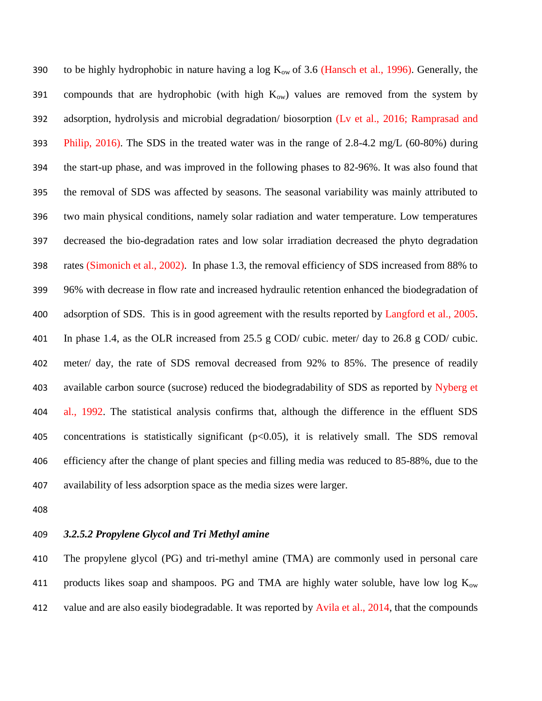390 to be highly hydrophobic in nature having a log  $K_{ow}$  of 3.6 (Hansch et al., 1996). Generally, the 391 compounds that are hydrophobic (with high  $K_{ow}$ ) values are removed from the system by adsorption, hydrolysis and microbial degradation/ biosorption (Lv et al., 2016; Ramprasad and Philip, 2016). The SDS in the treated water was in the range of 2.8-4.2 mg/L (60-80%) during the start-up phase, and was improved in the following phases to 82-96%. It was also found that the removal of SDS was affected by seasons. The seasonal variability was mainly attributed to two main physical conditions, namely solar radiation and water temperature. Low temperatures decreased the bio-degradation rates and low solar irradiation decreased the phyto degradation rates (Simonich et al., 2002). In phase 1.3, the removal efficiency of SDS increased from 88% to 96% with decrease in flow rate and increased hydraulic retention enhanced the biodegradation of 400 adsorption of SDS. This is in good agreement with the results reported by Langford et al., 2005. In phase 1.4, as the OLR increased from 25.5 g COD/ cubic. meter/ day to 26.8 g COD/ cubic. meter/ day, the rate of SDS removal decreased from 92% to 85%. The presence of readily available carbon source (sucrose) reduced the biodegradability of SDS as reported by Nyberg et al., 1992. The statistical analysis confirms that, although the difference in the effluent SDS concentrations is statistically significant (p<0.05), it is relatively small. The SDS removal efficiency after the change of plant species and filling media was reduced to 85-88%, due to the availability of less adsorption space as the media sizes were larger.

- 
- *3.2.5.2 Propylene Glycol and Tri Methyl amine*

 The propylene glycol (PG) and tri-methyl amine (TMA) are commonly used in personal care 411 products likes soap and shampoos. PG and TMA are highly water soluble, have low log  $K_{ow}$ 412 value and are also easily biodegradable. It was reported by Avila et al., 2014, that the compounds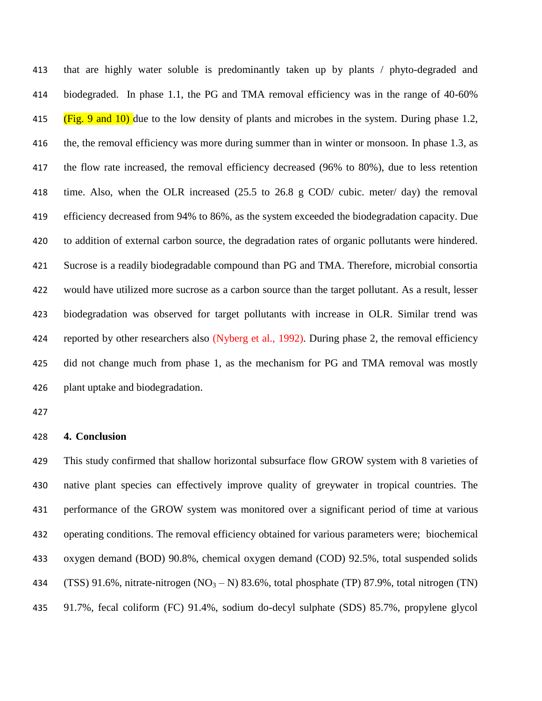that are highly water soluble is predominantly taken up by plants / phyto-degraded and biodegraded. In phase 1.1, the PG and TMA removal efficiency was in the range of 40-60% 415 (Fig. 9 and 10) due to the low density of plants and microbes in the system. During phase 1.2, the, the removal efficiency was more during summer than in winter or monsoon. In phase 1.3, as the flow rate increased, the removal efficiency decreased (96% to 80%), due to less retention time. Also, when the OLR increased (25.5 to 26.8 g COD/ cubic. meter/ day) the removal efficiency decreased from 94% to 86%, as the system exceeded the biodegradation capacity. Due to addition of external carbon source, the degradation rates of organic pollutants were hindered. Sucrose is a readily biodegradable compound than PG and TMA. Therefore, microbial consortia would have utilized more sucrose as a carbon source than the target pollutant. As a result, lesser biodegradation was observed for target pollutants with increase in OLR. Similar trend was reported by other researchers also (Nyberg et al., 1992). During phase 2, the removal efficiency did not change much from phase 1, as the mechanism for PG and TMA removal was mostly plant uptake and biodegradation.

#### **4. Conclusion**

 This study confirmed that shallow horizontal subsurface flow GROW system with 8 varieties of native plant species can effectively improve quality of greywater in tropical countries. The performance of the GROW system was monitored over a significant period of time at various operating conditions. The removal efficiency obtained for various parameters were; biochemical oxygen demand (BOD) 90.8%, chemical oxygen demand (COD) 92.5%, total suspended solids 434 (TSS) 91.6%, nitrate-nitrogen  $(NO<sub>3</sub> - N)$  83.6%, total phosphate (TP) 87.9%, total nitrogen (TN) 91.7%, fecal coliform (FC) 91.4%, sodium do-decyl sulphate (SDS) 85.7%, propylene glycol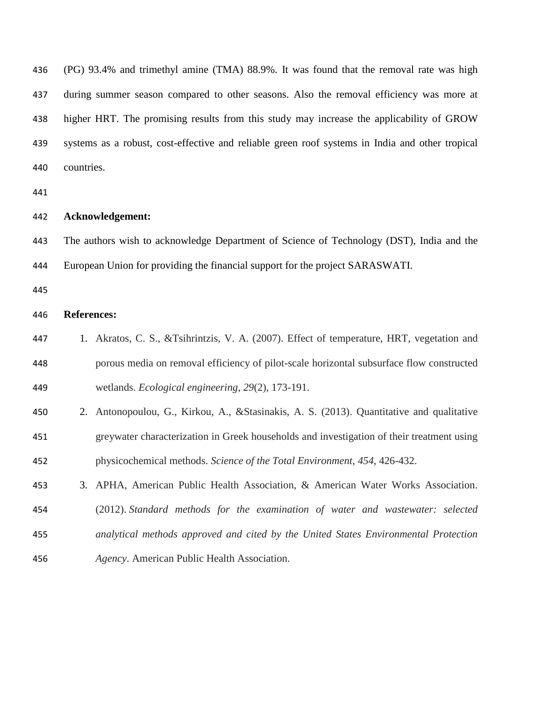| 436 | (PG) 93.4% and trimethyl amine (TMA) 88.9%. It was found that the removal rate was high         |
|-----|-------------------------------------------------------------------------------------------------|
| 437 | during summer season compared to other seasons. Also the removal efficiency was more at         |
| 438 | higher HRT. The promising results from this study may increase the applicability of GROW        |
| 439 | systems as a robust, cost-effective and reliable green roof systems in India and other tropical |
| 440 | countries.                                                                                      |
| 441 |                                                                                                 |
| 442 | Acknowledgement:                                                                                |
| 443 | The authors wish to acknowledge Department of Science of Technology (DST), India and the        |
| 444 | European Union for providing the financial support for the project SARASWATI.                   |
| 445 |                                                                                                 |
| 446 | <b>References:</b>                                                                              |
| 447 | 1. Akratos, C. S., & Tsihrintzis, V. A. (2007). Effect of temperature, HRT, vegetation and      |
| 448 | porous media on removal efficiency of pilot-scale horizontal subsurface flow constructed        |
| 449 | wetlands. Ecological engineering, 29(2), 173-191.                                               |
| 450 | 2. Antonopoulou, G., Kirkou, A., & Stasinakis, A. S. (2013). Quantitative and qualitative       |
| 451 | greywater characterization in Greek households and investigation of their treatment using       |
| 452 | physicochemical methods. Science of the Total Environment, 454, 426-432.                        |
| 453 | APHA, American Public Health Association, & American Water Works Association.<br>3.             |
| 454 | (2012). Standard methods for the examination of water and wastewater: selected                  |
| 455 | analytical methods approved and cited by the United States Environmental Protection             |
| 456 | Agency. American Public Health Association.                                                     |
|     |                                                                                                 |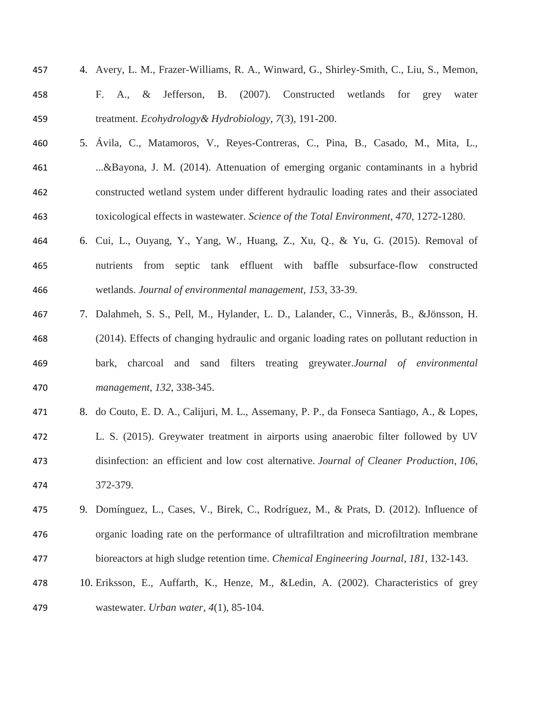- 4. Avery, L. M., Frazer-Williams, R. A., Winward, G., Shirley-Smith, C., Liu, S., Memon, F. A., & Jefferson, B. (2007). Constructed wetlands for grey water treatment. *Ecohydrology& Hydrobiology*, *7*(3), 191-200.
- 5. Ávila, C., Matamoros, V., Reyes-Contreras, C., Pina, B., Casado, M., Mita, L., ...&Bayona, J. M. (2014). Attenuation of emerging organic contaminants in a hybrid constructed wetland system under different hydraulic loading rates and their associated toxicological effects in wastewater. *Science of the Total Environment*, *470*, 1272-1280.
- 6. Cui, L., Ouyang, Y., Yang, W., Huang, Z., Xu, Q., & Yu, G. (2015). Removal of nutrients from septic tank effluent with baffle subsurface-flow constructed wetlands. *Journal of environmental management*, *153*, 33-39.
- 7. Dalahmeh, S. S., Pell, M., Hylander, L. D., Lalander, C., Vinnerås, B., &Jönsson, H. (2014). Effects of changing hydraulic and organic loading rates on pollutant reduction in bark, charcoal and sand filters treating greywater.*Journal of environmental management*, *132*, 338-345.
- 8. do Couto, E. D. A., Calijuri, M. L., Assemany, P. P., da Fonseca Santiago, A., & Lopes,
- L. S. (2015). Greywater treatment in airports using anaerobic filter followed by UV disinfection: an efficient and low cost alternative. *Journal of Cleaner Production*, *106*, 372-379.
- 9. Domínguez, L., Cases, V., Birek, C., Rodríguez, M., & Prats, D. (2012). Influence of organic loading rate on the performance of ultrafiltration and microfiltration membrane bioreactors at high sludge retention time. *Chemical Engineering Journal*, *181*, 132-143.
- 10. Eriksson, E., Auffarth, K., Henze, M., &Ledin, A. (2002). Characteristics of grey wastewater. *Urban water*, *4*(1), 85-104.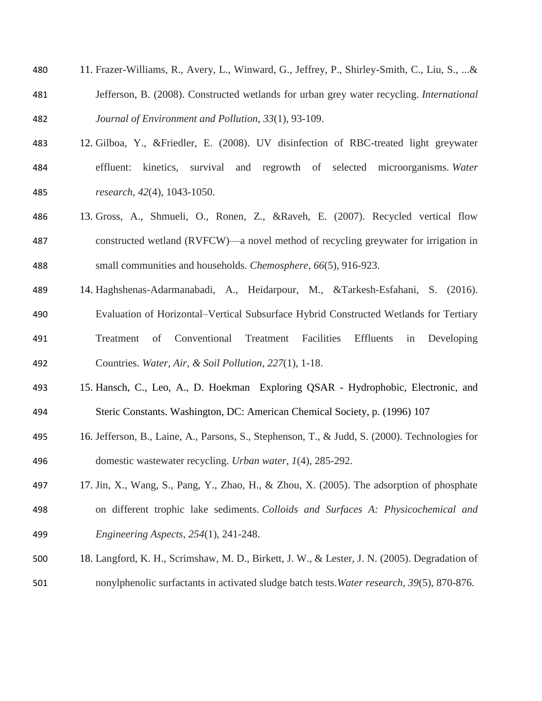- 11. Frazer-Williams, R., Avery, L., Winward, G., Jeffrey, P., Shirley-Smith, C., Liu, S., ...& Jefferson, B. (2008). Constructed wetlands for urban grey water recycling. *International Journal of Environment and Pollution*, *33*(1), 93-109.
- 12. Gilboa, Y., &Friedler, E. (2008). UV disinfection of RBC-treated light greywater effluent: kinetics, survival and regrowth of selected microorganisms. *Water research*, *42*(4), 1043-1050.
- 13. Gross, A., Shmueli, O., Ronen, Z., &Raveh, E. (2007). Recycled vertical flow constructed wetland (RVFCW)—a novel method of recycling greywater for irrigation in small communities and households. *Chemosphere*, *66*(5), 916-923.
- 14. Haghshenas-Adarmanabadi, A., Heidarpour, M., &Tarkesh-Esfahani, S. (2016). Evaluation of Horizontal–Vertical Subsurface Hybrid Constructed Wetlands for Tertiary Treatment of Conventional Treatment Facilities Effluents in Developing Countries. *Water, Air, & Soil Pollution*, *227*(1), 1-18.
- 15. Hansch, C., Leo, A., D. Hoekman Exploring QSAR Hydrophobic, Electronic, and Steric Constants. Washington, DC: American Chemical Society, p. (1996) 107
- 16. Jefferson, B., Laine, A., Parsons, S., Stephenson, T., & Judd, S. (2000). Technologies for domestic wastewater recycling. *Urban water*, *1*(4), 285-292.
- 17. Jin, X., Wang, S., Pang, Y., Zhao, H., & Zhou, X. (2005). The adsorption of phosphate on different trophic lake sediments. *Colloids and Surfaces A: Physicochemical and Engineering Aspects*, *254*(1), 241-248.
- 18. Langford, K. H., Scrimshaw, M. D., Birkett, J. W., & Lester, J. N. (2005). Degradation of
- nonylphenolic surfactants in activated sludge batch tests.*Water research*, *39*(5), 870-876.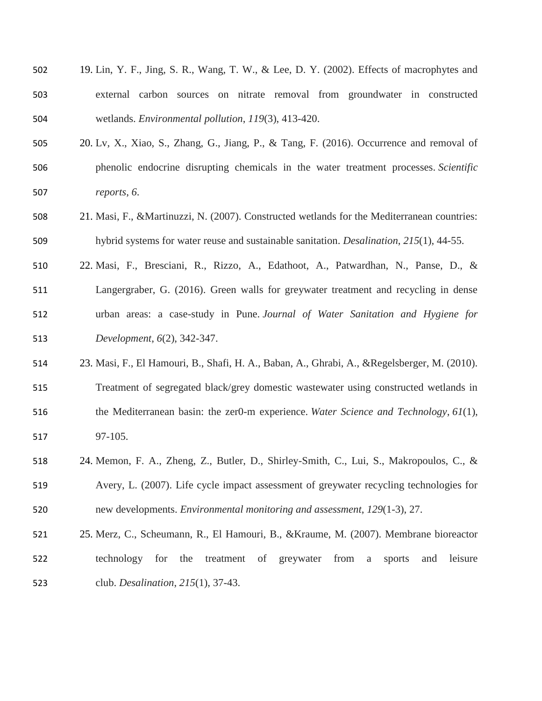| 502 | 19. Lin, Y. F., Jing, S. R., Wang, T. W., & Lee, D. Y. (2002). Effects of macrophytes and       |
|-----|-------------------------------------------------------------------------------------------------|
| 503 | external carbon sources on nitrate removal from groundwater in constructed                      |
| 504 | wetlands. Environmental pollution, 119(3), 413-420.                                             |
| 505 | 20. Lv, X., Xiao, S., Zhang, G., Jiang, P., & Tang, F. (2016). Occurrence and removal of        |
| 506 | phenolic endocrine disrupting chemicals in the water treatment processes. Scientific            |
| 507 | reports, 6.                                                                                     |
| 508 | 21. Masi, F., & Martinuzzi, N. (2007). Constructed wetlands for the Mediterranean countries:    |
| 509 | hybrid systems for water reuse and sustainable sanitation. <i>Desalination</i> , 215(1), 44-55. |
| 510 | 22. Masi, F., Bresciani, R., Rizzo, A., Edathoot, A., Patwardhan, N., Panse, D., &              |
| 511 | Langergraber, G. (2016). Green walls for greywater treatment and recycling in dense             |
| 512 | urban areas: a case-study in Pune <i>Journal of Water Sanitation and Hygiene for</i>            |
| 513 | Development, 6(2), 342-347.                                                                     |
| 514 | 23. Masi, F., El Hamouri, B., Shafi, H. A., Baban, A., Ghrabi, A., & Regelsberger, M. (2010).   |
|     |                                                                                                 |

- Treatment of segregated black/grey domestic wastewater using constructed wetlands in the Mediterranean basin: the zer0-m experience. *Water Science and Technology*, *61*(1), 97-105.
- 24. Memon, F. A., Zheng, Z., Butler, D., Shirley-Smith, C., Lui, S., Makropoulos, C., & Avery, L. (2007). Life cycle impact assessment of greywater recycling technologies for new developments. *Environmental monitoring and assessment*, *129*(1-3), 27.
- 25. Merz, C., Scheumann, R., El Hamouri, B., &Kraume, M. (2007). Membrane bioreactor technology for the treatment of greywater from a sports and leisure club. *Desalination*, *215*(1), 37-43.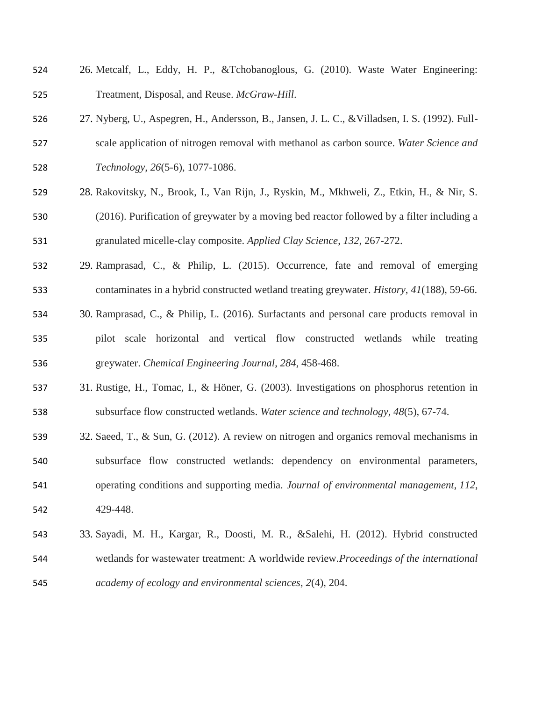- 26. Metcalf, L., Eddy, H. P., &Tchobanoglous, G. (2010). Waste Water Engineering: Treatment, Disposal, and Reuse. *McGraw-Hill*.
- 27. Nyberg, U., Aspegren, H., Andersson, B., Jansen, J. L. C., &Villadsen, I. S. (1992). Full- scale application of nitrogen removal with methanol as carbon source. *Water Science and Technology*, *26*(5-6), 1077-1086.
- 28. Rakovitsky, N., Brook, I., Van Rijn, J., Ryskin, M., Mkhweli, Z., Etkin, H., & Nir, S. (2016). Purification of greywater by a moving bed reactor followed by a filter including a granulated micelle-clay composite. *Applied Clay Science*, *132*, 267-272.
- 29. Ramprasad, C., & Philip, L. (2015). Occurrence, fate and removal of emerging contaminates in a hybrid constructed wetland treating greywater. *History*, *41*(188), 59-66.
- 30. Ramprasad, C., & Philip, L. (2016). Surfactants and personal care products removal in pilot scale horizontal and vertical flow constructed wetlands while treating greywater. *Chemical Engineering Journal*, *284*, 458-468.
- 31. Rustige, H., Tomac, I., & Höner, G. (2003). Investigations on phosphorus retention in subsurface flow constructed wetlands. *Water science and technology*, *48*(5), 67-74.
- 32. Saeed, T., & Sun, G. (2012). A review on nitrogen and organics removal mechanisms in subsurface flow constructed wetlands: dependency on environmental parameters, operating conditions and supporting media. *Journal of environmental management*, *112*, 429-448.
- 33. Sayadi, M. H., Kargar, R., Doosti, M. R., &Salehi, H. (2012). Hybrid constructed wetlands for wastewater treatment: A worldwide review.*Proceedings of the international academy of ecology and environmental sciences*, *2*(4), 204.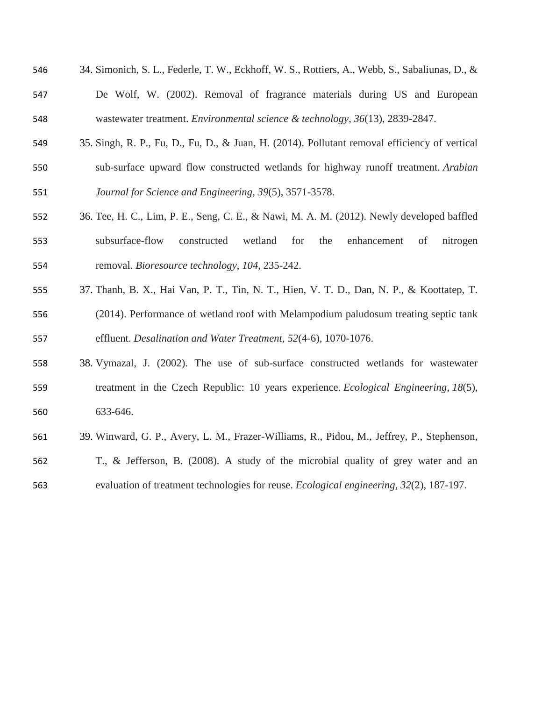| 546 | 34. Simonich, S. L., Federle, T. W., Eckhoff, W. S., Rottiers, A., Webb, S., Sabaliunas, D., &  |
|-----|-------------------------------------------------------------------------------------------------|
| 547 | De Wolf, W. (2002). Removal of fragrance materials during US and European                       |
| 548 | wastewater treatment. <i>Environmental science &amp; technology</i> , 36(13), 2839-2847.        |
| 549 | 35. Singh, R. P., Fu, D., Fu, D., & Juan, H. (2014). Pollutant removal efficiency of vertical   |
| 550 | sub-surface upward flow constructed wetlands for highway runoff treatment. Arabian              |
| 551 | Journal for Science and Engineering, 39(5), 3571-3578.                                          |
| 552 | 36. Tee, H. C., Lim, P. E., Seng, C. E., & Nawi, M. A. M. (2012). Newly developed baffled       |
| 553 | subsurface-flow<br>wetland<br>constructed<br>for<br>the<br>enhancement<br>of<br>nitrogen        |
| 554 | removal. Bioresource technology, 104, 235-242.                                                  |
| 555 | 37. Thanh, B. X., Hai Van, P. T., Tin, N. T., Hien, V. T. D., Dan, N. P., & Koottatep, T.       |
| 556 | (2014). Performance of wetland roof with Melampodium paludosum treating septic tank             |
| 557 | effluent. Desalination and Water Treatment, 52(4-6), 1070-1076.                                 |
| 558 | 38. Vymazal, J. (2002). The use of sub-surface constructed wetlands for wastewater              |
| 559 | treatment in the Czech Republic: 10 years experience. <i>Ecological Engineering</i> , 18(5),    |
| 560 | 633-646.                                                                                        |
| 561 | 39. Winward, G. P., Avery, L. M., Frazer-Williams, R., Pidou, M., Jeffrey, P., Stephenson,      |
| 562 | T., & Jefferson, B. (2008). A study of the microbial quality of grey water and an               |
| 563 | evaluation of treatment technologies for reuse. <i>Ecological engineering</i> , 32(2), 187-197. |
|     |                                                                                                 |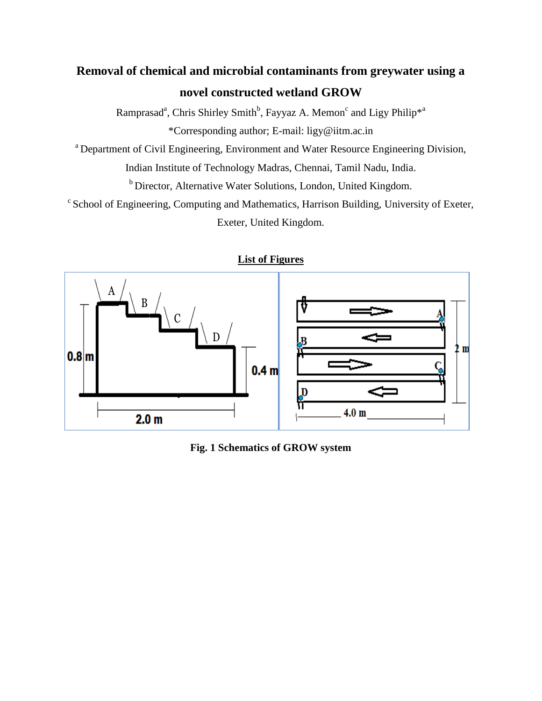# **Removal of chemical and microbial contaminants from greywater using a novel constructed wetland GROW**

Ramprasad<sup>a</sup>, Chris Shirley Smith<sup>b</sup>, Fayyaz A. Memon<sup>c</sup> and Ligy Philip<sup>\*a</sup> \*Corresponding author; E-mail: ligy@iitm.ac.in

<sup>a</sup> Department of Civil Engineering, Environment and Water Resource Engineering Division,

Indian Institute of Technology Madras, Chennai, Tamil Nadu, India.

b Director, Alternative Water Solutions, London, United Kingdom.

<sup>c</sup> School of Engineering, Computing and Mathematics, Harrison Building, University of Exeter, Exeter, United Kingdom.



**List of Figures**

**Fig. 1 Schematics of GROW system**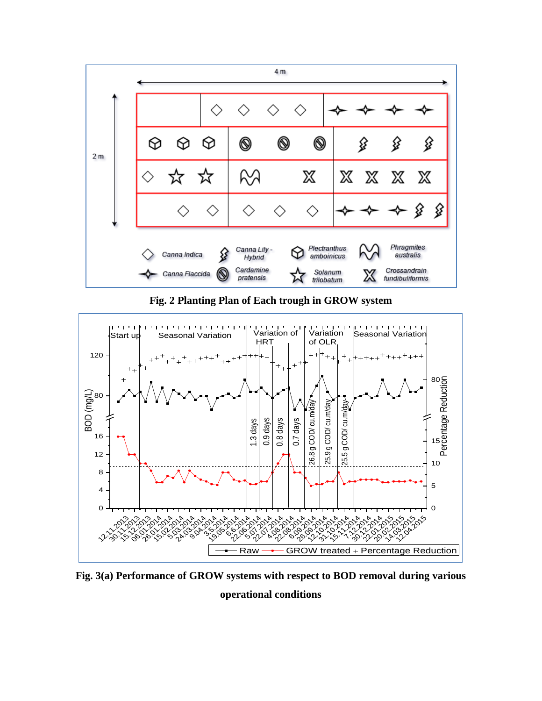

**Fig. 2 Planting Plan of Each trough in GROW system**



**Fig. 3(a) Performance of GROW systems with respect to BOD removal during various** 

### **operational conditions**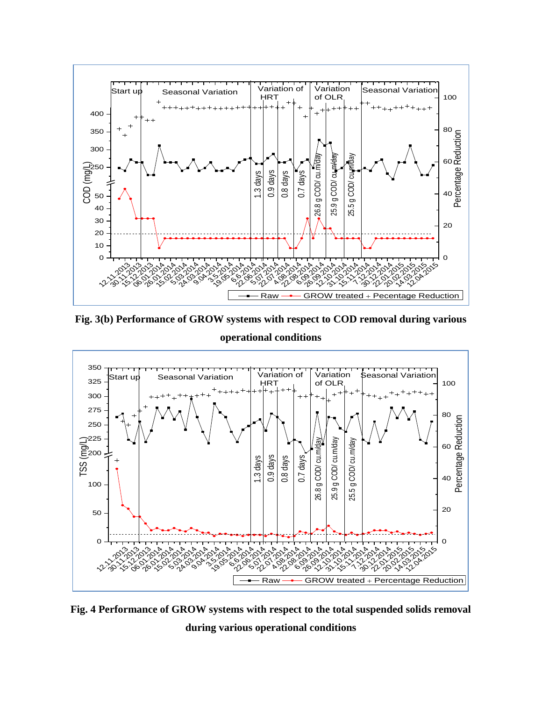

**Fig. 3(b) Performance of GROW systems with respect to COD removal during various operational conditions**



**Fig. 4 Performance of GROW systems with respect to the total suspended solids removal during various operational conditions**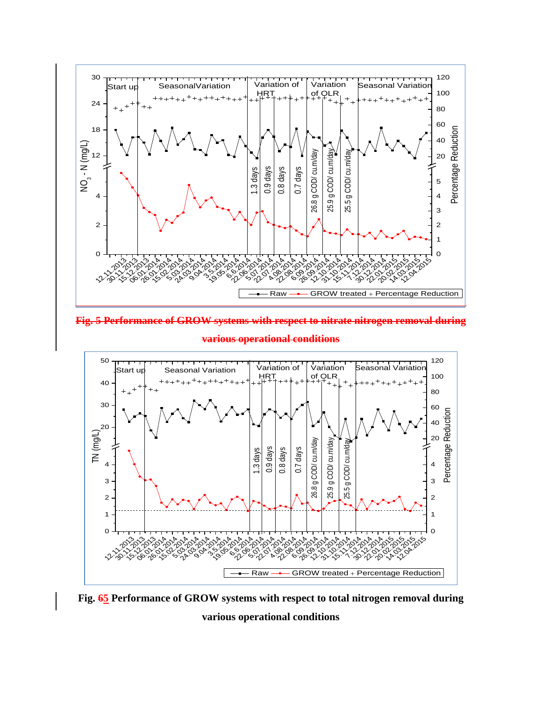

**Fig. 5 Performance of GROW systems with respect to nitrate nitrogen removal during** 



**various operational conditions**

**Fig. 65 Performance of GROW systems with respect to total nitrogen removal during various operational conditions**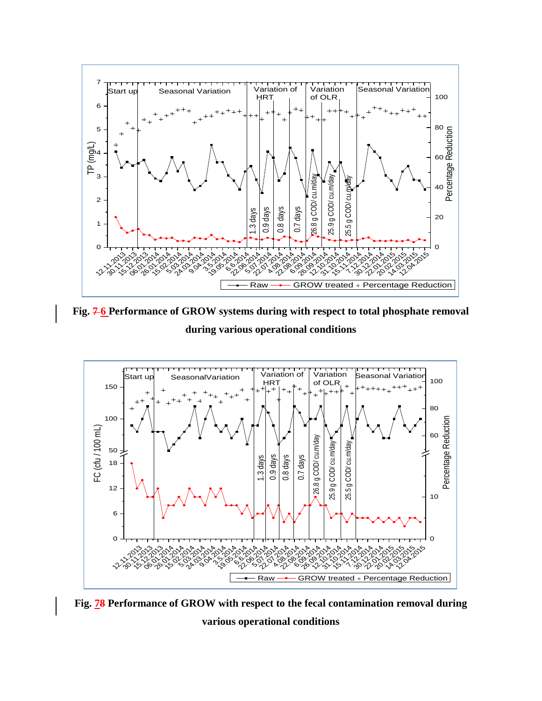

**Fig. 7 6 Performance of GROW systems during with respect to total phosphate removal during various operational conditions**



**Fig. 78 Performance of GROW with respect to the fecal contamination removal during various operational conditions**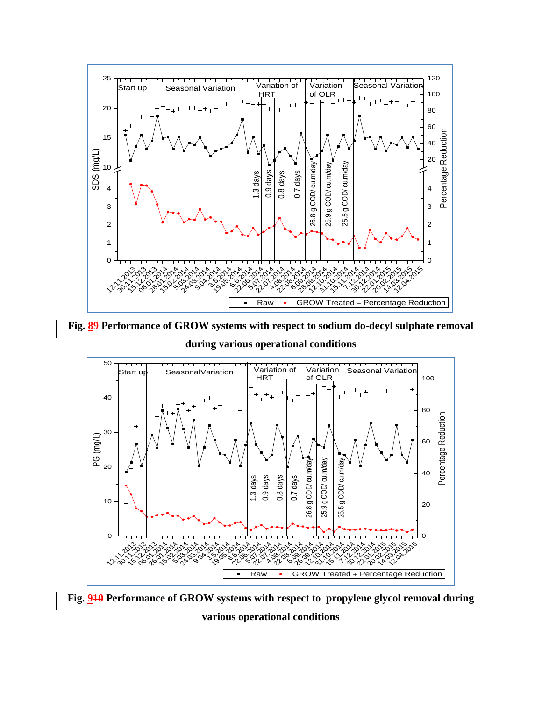

**Fig. 89 Performance of GROW systems with respect to sodium do-decyl sulphate removal**

**during various operational conditions**



**Fig. 910 Performance of GROW systems with respect to propylene glycol removal during various operational conditions**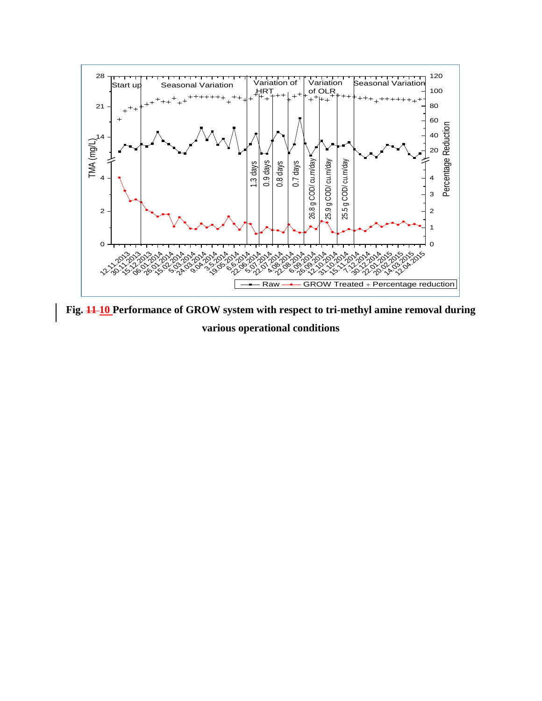

**Fig. 11 10 Performance of GROW system with respect to tri-methyl amine removal during various operational conditions**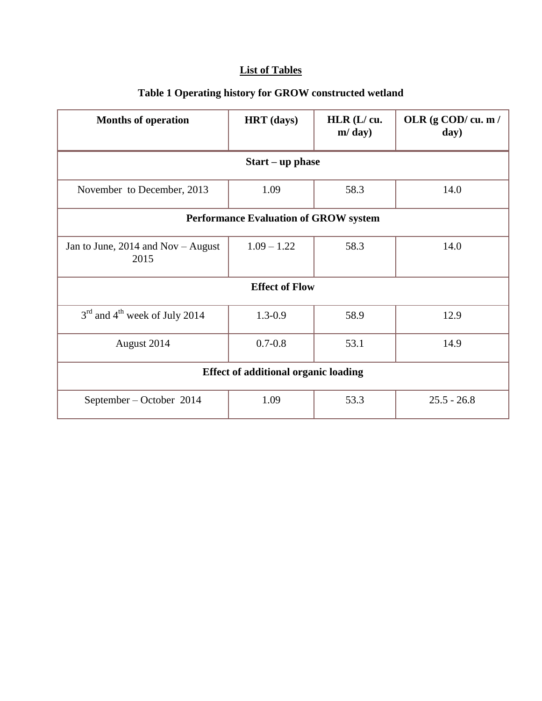# **List of Tables**

| <b>Months of operation</b>                            | <b>HRT</b> (days) | $HLR$ ( $L$ / $cu.$<br>m/day) | OLR (g COD/cu. m /<br>day) |  |  |
|-------------------------------------------------------|-------------------|-------------------------------|----------------------------|--|--|
| $Start - up phase$                                    |                   |                               |                            |  |  |
| November to December, 2013                            | 1.09              | 58.3                          | 14.0                       |  |  |
| <b>Performance Evaluation of GROW system</b>          |                   |                               |                            |  |  |
| Jan to June, $2014$ and Nov – August<br>2015          | $1.09 - 1.22$     | 58.3                          | 14.0                       |  |  |
| <b>Effect of Flow</b>                                 |                   |                               |                            |  |  |
| 3 <sup>rd</sup> and 4 <sup>th</sup> week of July 2014 | $1.3 - 0.9$       | 58.9                          | 12.9                       |  |  |
| August 2014                                           | $0.7 - 0.8$       | 53.1                          | 14.9                       |  |  |
| <b>Effect of additional organic loading</b>           |                   |                               |                            |  |  |
| September – October 2014                              | 1.09              | 53.3                          | $25.5 - 26.8$              |  |  |

# **Table 1 Operating history for GROW constructed wetland**